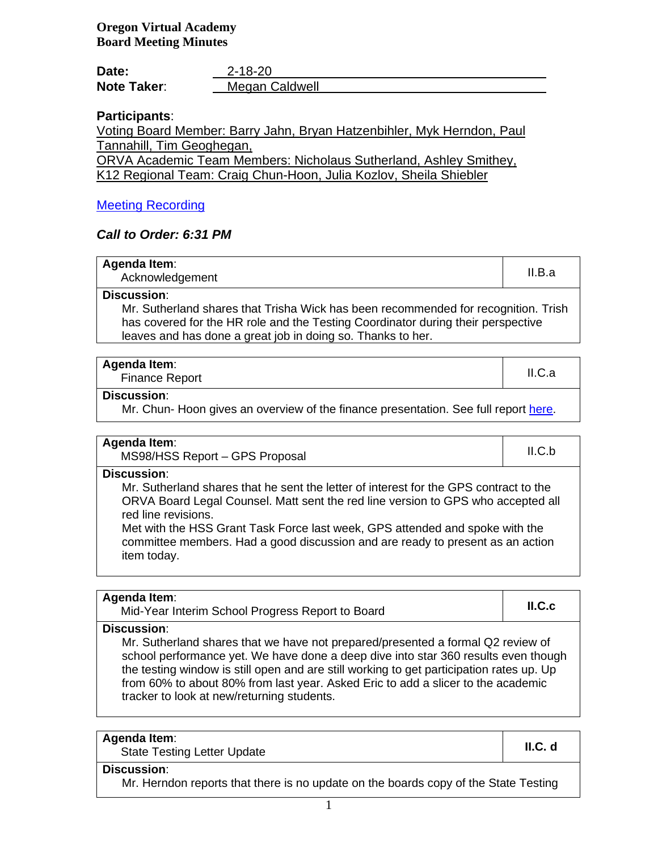### **Oregon Virtual Academy Board Meeting Minutes**

| Date:              | 2-18-20        |
|--------------------|----------------|
| <b>Note Taker:</b> | Megan Caldwell |

# **Participants**:

Voting Board Member: Barry Jahn, Bryan Hatzenbihler, Myk Herndon, Paul Tannahill, Tim Geoghegan,

ORVA Academic Team Members: Nicholaus Sutherland, Ashley Smithey, K12 Regional Team: Craig Chun-Hoon, Julia Kozlov, Sheila Shiebler

# [Meeting Recording](https://k12inc-my.sharepoint.com/:v:/g/personal/mecaldwell_oregonva_org/EQL1GzpMDdxFk8zqhZStjZcBt0prvUKF7gUr8Kx5s0C8yg?e=4Hyx6E)

#### *Call to Order: 6:31 PM*

| Agenda Item:<br>Acknowledgement                                                    | II.B.a |
|------------------------------------------------------------------------------------|--------|
| <b>Discussion:</b>                                                                 |        |
| Mr. Sutherland shares that Trisha Wick has been recommended for recognition. Trish |        |
| has covered for the HR role and the Testing Coordinator during their perspective   |        |
| leaves and has done a great job in doing so. Thanks to her.                        |        |

| <b>Agenda Item:</b>   |        |
|-----------------------|--------|
| <b>Finance Report</b> | II.C.a |

#### **Discussion**:

Mr. Chun- Hoon gives an overview of the finance presentation. See full report [here.](https://k12inc-my.sharepoint.com/:p:/g/personal/mecaldwell_oregonva_org/EdefxqbVv9dNrtV30CxGpiIBKqX7u_qBTQ1no5lN_lhS7g?e=gPFohN)

| Agenda Item:                   |        |
|--------------------------------|--------|
| MS98/HSS Report - GPS Proposal | II.C.b |

**Discussion**:

Mr. Sutherland shares that he sent the letter of interest for the GPS contract to the ORVA Board Legal Counsel. Matt sent the red line version to GPS who accepted all red line revisions.

Met with the HSS Grant Task Force last week, GPS attended and spoke with the committee members. Had a good discussion and are ready to present as an action item today.

| Agenda Item:<br>Mid-Year Interim School Progress Report to Board                                                                                                                                                                                                                                                                                                                                                          | ILC.c |
|---------------------------------------------------------------------------------------------------------------------------------------------------------------------------------------------------------------------------------------------------------------------------------------------------------------------------------------------------------------------------------------------------------------------------|-------|
| <b>Discussion:</b><br>Mr. Sutherland shares that we have not prepared/presented a formal Q2 review of<br>school performance yet. We have done a deep dive into star 360 results even though<br>the testing window is still open and are still working to get participation rates up. Up<br>from 60% to about 80% from last year. Asked Eric to add a slicer to the academic<br>tracker to look at new/returning students. |       |

| <b>Agenda Item:</b> |  |
|---------------------|--|
|---------------------|--|

enda item.<br>State Testing Letter Update **II.C. d II.C. d** 

**Discussion**:

Mr. Herndon reports that there is no update on the boards copy of the State Testing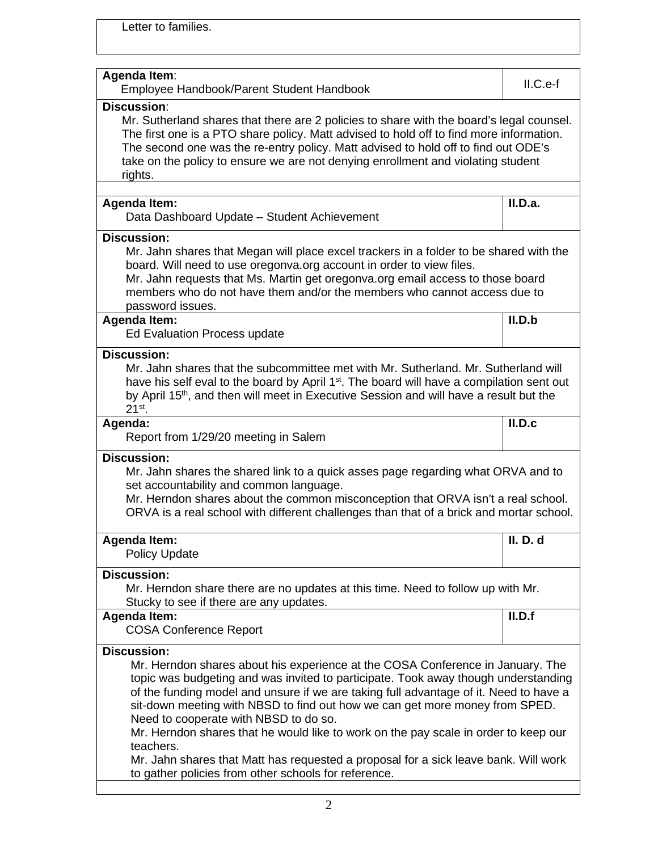Letter to families.

| <b>Agenda Item:</b><br>Employee Handbook/Parent Student Handbook                                                                                                                                                                                                                                                                                                                                                                                                                                                                                                                                                                                               | II.C.e-f        |
|----------------------------------------------------------------------------------------------------------------------------------------------------------------------------------------------------------------------------------------------------------------------------------------------------------------------------------------------------------------------------------------------------------------------------------------------------------------------------------------------------------------------------------------------------------------------------------------------------------------------------------------------------------------|-----------------|
| <b>Discussion:</b><br>Mr. Sutherland shares that there are 2 policies to share with the board's legal counsel.<br>The first one is a PTO share policy. Matt advised to hold off to find more information.<br>The second one was the re-entry policy. Matt advised to hold off to find out ODE's<br>take on the policy to ensure we are not denying enrollment and violating student<br>rights.                                                                                                                                                                                                                                                                 |                 |
|                                                                                                                                                                                                                                                                                                                                                                                                                                                                                                                                                                                                                                                                |                 |
| <b>Agenda Item:</b><br>Data Dashboard Update - Student Achievement                                                                                                                                                                                                                                                                                                                                                                                                                                                                                                                                                                                             | II.D.a.         |
| <b>Discussion:</b><br>Mr. Jahn shares that Megan will place excel trackers in a folder to be shared with the<br>board. Will need to use oregonva.org account in order to view files.<br>Mr. Jahn requests that Ms. Martin get oregonva.org email access to those board<br>members who do not have them and/or the members who cannot access due to<br>password issues.                                                                                                                                                                                                                                                                                         |                 |
| <b>Agenda Item:</b><br>Ed Evaluation Process update                                                                                                                                                                                                                                                                                                                                                                                                                                                                                                                                                                                                            | II.D.b          |
| <b>Discussion:</b><br>Mr. Jahn shares that the subcommittee met with Mr. Sutherland. Mr. Sutherland will<br>have his self eval to the board by April 1 <sup>st</sup> . The board will have a compilation sent out<br>by April 15 <sup>th</sup> , and then will meet in Executive Session and will have a result but the<br>$21^{st}$ .                                                                                                                                                                                                                                                                                                                         |                 |
| Agenda:<br>Report from 1/29/20 meeting in Salem                                                                                                                                                                                                                                                                                                                                                                                                                                                                                                                                                                                                                | II.D.c          |
| <b>Discussion:</b><br>Mr. Jahn shares the shared link to a quick asses page regarding what ORVA and to<br>set accountability and common language.<br>Mr. Herndon shares about the common misconception that ORVA isn't a real school.<br>ORVA is a real school with different challenges than that of a brick and mortar school.                                                                                                                                                                                                                                                                                                                               |                 |
| <b>Agenda Item:</b><br><b>Policy Update</b>                                                                                                                                                                                                                                                                                                                                                                                                                                                                                                                                                                                                                    | <b>II.</b> D. d |
| <b>Discussion:</b><br>Mr. Herndon share there are no updates at this time. Need to follow up with Mr.<br>Stucky to see if there are any updates.                                                                                                                                                                                                                                                                                                                                                                                                                                                                                                               |                 |
| <b>Agenda Item:</b><br><b>COSA Conference Report</b>                                                                                                                                                                                                                                                                                                                                                                                                                                                                                                                                                                                                           | II.D.f          |
| <b>Discussion:</b><br>Mr. Herndon shares about his experience at the COSA Conference in January. The<br>topic was budgeting and was invited to participate. Took away though understanding<br>of the funding model and unsure if we are taking full advantage of it. Need to have a<br>sit-down meeting with NBSD to find out how we can get more money from SPED.<br>Need to cooperate with NBSD to do so.<br>Mr. Herndon shares that he would like to work on the pay scale in order to keep our<br>teachers.<br>Mr. Jahn shares that Matt has requested a proposal for a sick leave bank. Will work<br>to gather policies from other schools for reference. |                 |